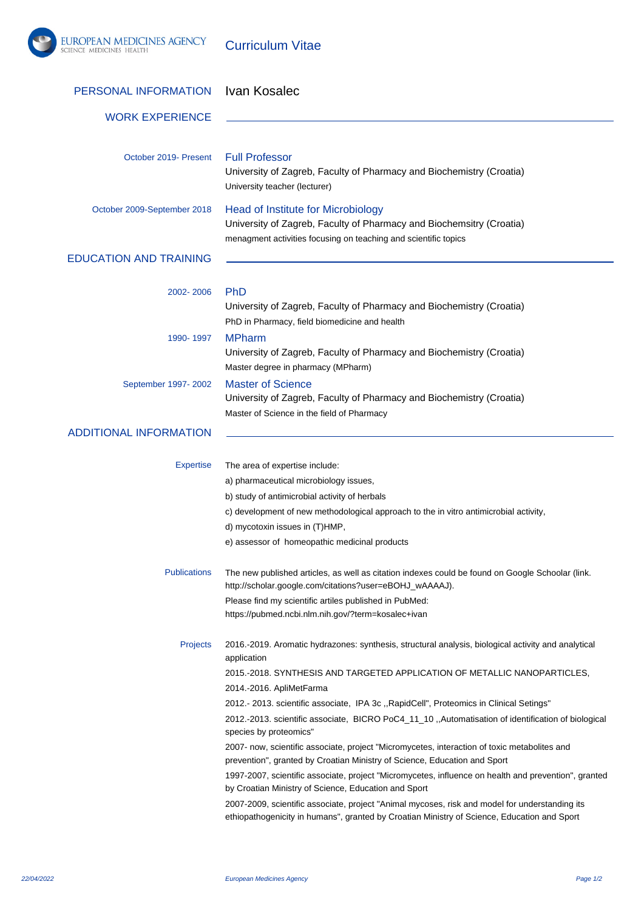

Curriculum Vitae

| PERSONAL INFORMATION          | Ivan Kosalec                                                                                                                                                                                                                                                                                                                                                                                                                                                                                                                                                                                                                                                                                                                                                                                                                                                                                                                                                                                          |
|-------------------------------|-------------------------------------------------------------------------------------------------------------------------------------------------------------------------------------------------------------------------------------------------------------------------------------------------------------------------------------------------------------------------------------------------------------------------------------------------------------------------------------------------------------------------------------------------------------------------------------------------------------------------------------------------------------------------------------------------------------------------------------------------------------------------------------------------------------------------------------------------------------------------------------------------------------------------------------------------------------------------------------------------------|
| <b>WORK EXPERIENCE</b>        |                                                                                                                                                                                                                                                                                                                                                                                                                                                                                                                                                                                                                                                                                                                                                                                                                                                                                                                                                                                                       |
| October 2019- Present         | <b>Full Professor</b><br>University of Zagreb, Faculty of Pharmacy and Biochemistry (Croatia)<br>University teacher (lecturer)                                                                                                                                                                                                                                                                                                                                                                                                                                                                                                                                                                                                                                                                                                                                                                                                                                                                        |
| October 2009-September 2018   | <b>Head of Institute for Microbiology</b><br>University of Zagreb, Faculty of Pharmacy and Biochemsitry (Croatia)<br>menagment activities focusing on teaching and scientific topics                                                                                                                                                                                                                                                                                                                                                                                                                                                                                                                                                                                                                                                                                                                                                                                                                  |
| <b>EDUCATION AND TRAINING</b> |                                                                                                                                                                                                                                                                                                                                                                                                                                                                                                                                                                                                                                                                                                                                                                                                                                                                                                                                                                                                       |
| 2002-2006                     | <b>PhD</b><br>University of Zagreb, Faculty of Pharmacy and Biochemistry (Croatia)<br>PhD in Pharmacy, field biomedicine and health                                                                                                                                                                                                                                                                                                                                                                                                                                                                                                                                                                                                                                                                                                                                                                                                                                                                   |
| 1990-1997                     | <b>MPharm</b><br>University of Zagreb, Faculty of Pharmacy and Biochemistry (Croatia)<br>Master degree in pharmacy (MPharm)                                                                                                                                                                                                                                                                                                                                                                                                                                                                                                                                                                                                                                                                                                                                                                                                                                                                           |
| September 1997-2002           | <b>Master of Science</b><br>University of Zagreb, Faculty of Pharmacy and Biochemistry (Croatia)<br>Master of Science in the field of Pharmacy                                                                                                                                                                                                                                                                                                                                                                                                                                                                                                                                                                                                                                                                                                                                                                                                                                                        |
| <b>ADDITIONAL INFORMATION</b> |                                                                                                                                                                                                                                                                                                                                                                                                                                                                                                                                                                                                                                                                                                                                                                                                                                                                                                                                                                                                       |
| <b>Expertise</b>              | The area of expertise include:<br>a) pharmaceutical microbiology issues,<br>b) study of antimicrobial activity of herbals<br>c) development of new methodological approach to the in vitro antimicrobial activity,<br>d) mycotoxin issues in (T)HMP,<br>e) assessor of homeopathic medicinal products                                                                                                                                                                                                                                                                                                                                                                                                                                                                                                                                                                                                                                                                                                 |
| <b>Publications</b>           | The new published articles, as well as citation indexes could be found on Google Schoolar (link.<br>http://scholar.google.com/citations?user=eBOHJ_wAAAAJ).<br>Please find my scientific artiles published in PubMed:<br>https://pubmed.ncbi.nlm.nih.gov/?term=kosalec+ivan                                                                                                                                                                                                                                                                                                                                                                                                                                                                                                                                                                                                                                                                                                                           |
| <b>Projects</b>               | 2016.-2019. Aromatic hydrazones: synthesis, structural analysis, biological activity and analytical<br>application<br>2015.-2018. SYNTHESIS AND TARGETED APPLICATION OF METALLIC NANOPARTICLES,<br>2014.-2016. ApliMetFarma<br>2012.- 2013. scientific associate, IPA 3c ,,RapidCell", Proteomics in Clinical Setings"<br>2012.-2013. scientific associate, BICRO PoC4_11_10 ,,Automatisation of identification of biological<br>species by proteomics"<br>2007- now, scientific associate, project "Micromycetes, interaction of toxic metabolites and<br>prevention", granted by Croatian Ministry of Science, Education and Sport<br>1997-2007, scientific associate, project "Micromycetes, influence on health and prevention", granted<br>by Croatian Ministry of Science, Education and Sport<br>2007-2009, scientific associate, project "Animal mycoses, risk and model for understanding its<br>ethiopathogenicity in humans", granted by Croatian Ministry of Science, Education and Sport |